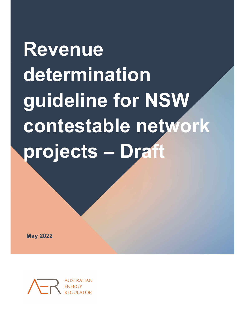Revenue determination guideline for NSW contestable network projects – Draft

May 2022

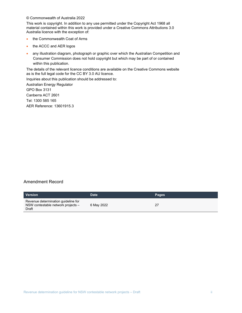#### © Commonwealth of Australia 2022

This work is copyright. In addition to any use permitted under the Copyright Act 1968 all material contained within this work is provided under a Creative Commons Attributions 3.0 Australia licence with the exception of:

- the Commonwealth Coat of Arms
- the ACCC and AER logos
- any illustration diagram, photograph or graphic over which the Australian Competition and Consumer Commission does not hold copyright but which may be part of or contained within this publication.

The details of the relevant licence conditions are available on the Creative Commons website as is the full legal code for the CC BY 3.0 AU licence.

Inquiries about this publication should be addressed to:

Australian Energy Regulator GPO Box 3131 Canberra ACT 2601 Tel: 1300 585 165 AER Reference: 13601915.3

#### Amendment Record

| <b>Version</b>                                                                     | Date       | <b>Pages</b> |
|------------------------------------------------------------------------------------|------------|--------------|
| Revenue determination guideline for<br>NSW contestable network projects -<br>Draft | 6 May 2022 |              |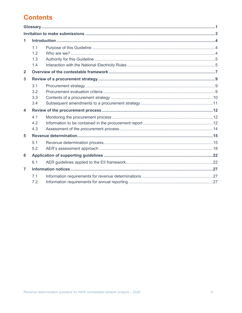# **Contents**

| 1                       |            |  |  |
|-------------------------|------------|--|--|
|                         | 1.1        |  |  |
|                         | 1.2        |  |  |
|                         | 1.3        |  |  |
|                         | 1.4        |  |  |
| $\overline{2}$          |            |  |  |
| 3                       |            |  |  |
|                         | 3.1        |  |  |
|                         | 3.2        |  |  |
|                         | 3.3        |  |  |
|                         | 3.4        |  |  |
| $\overline{\mathbf{4}}$ |            |  |  |
|                         | 4.1        |  |  |
|                         | 4.2        |  |  |
|                         | 4.3        |  |  |
| 5                       |            |  |  |
|                         | 5.1        |  |  |
|                         | 5.2        |  |  |
| 6                       |            |  |  |
|                         | 6.1        |  |  |
| $\overline{7}$          |            |  |  |
|                         | 7.1<br>7.2 |  |  |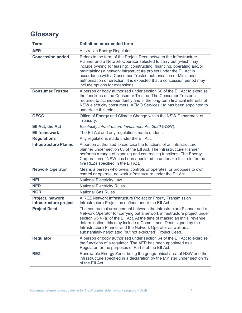# **Glossary**

| <b>Term</b>                                | <b>Definition or extended form</b>                                                                                                                                                                                                                                                                                                                                                                                                                                    |
|--------------------------------------------|-----------------------------------------------------------------------------------------------------------------------------------------------------------------------------------------------------------------------------------------------------------------------------------------------------------------------------------------------------------------------------------------------------------------------------------------------------------------------|
| <b>AER</b>                                 | Australian Energy Regulator.                                                                                                                                                                                                                                                                                                                                                                                                                                          |
| <b>Concession period</b>                   | Refers to the term of the Project Deed between the Infrastructure<br>Planner and a Network Operator selected to carry out (which may<br>include owning (or leasing), constructing, financing, operating and/or<br>maintaining) a network infrastructure project under the EII Act in<br>accordance with a Consumer Trustee authorisation or Ministerial<br>authorisation or direction. It is expected that a concession period may<br>include options for extensions. |
| <b>Consumer Trustee</b>                    | A person or body authorised under section 60 of the EII Act to exercise<br>the functions of the Consumer Trustee. The Consumer Trustee is<br>required to act independently and in the long-term financial interests of<br>NSW electricity consumers. AEMO Services Ltd has been appointed to<br>undertake this role.                                                                                                                                                  |
| <b>OECC</b>                                | Office of Energy and Climate Change within the NSW Department of<br>Treasury.                                                                                                                                                                                                                                                                                                                                                                                         |
| Ell Act, the Act                           | Electricity Infrastructure Investment Act 2020 (NSW).                                                                                                                                                                                                                                                                                                                                                                                                                 |
| <b>Ell framework</b>                       | The EII Act and any regulations made under it.                                                                                                                                                                                                                                                                                                                                                                                                                        |
| <b>Regulations</b>                         | Any regulations made under the EII Act.                                                                                                                                                                                                                                                                                                                                                                                                                               |
| <b>Infrastructure Planner</b>              | A person authorised to exercise the functions of an infrastructure<br>planner under section 63 of the EII Act. The Infrastructure Planner<br>performs a range of planning and contracting functions. The Energy<br>Corporation of NSW has been appointed to undertake this role for the<br>five REZs specified in the EII Act.                                                                                                                                        |
| <b>Network Operator</b>                    | Means a person who owns, controls or operates, or proposes to own,<br>control or operate, network infrastructure under the EII Act.                                                                                                                                                                                                                                                                                                                                   |
| <b>NEL</b>                                 | <b>National Electricity Law</b>                                                                                                                                                                                                                                                                                                                                                                                                                                       |
| <b>NER</b>                                 | <b>National Electricity Rules</b>                                                                                                                                                                                                                                                                                                                                                                                                                                     |
| <b>NGR</b>                                 | <b>National Gas Rules</b>                                                                                                                                                                                                                                                                                                                                                                                                                                             |
| Project, network<br>infrastructure project | A REZ Network Infrastructure Project or Priority Transmission<br>Infrastructure Project as defined under the EII Act.                                                                                                                                                                                                                                                                                                                                                 |
| <b>Project Deed</b>                        | The contractual arrangement between the Infrastructure Planner and a<br>Network Operator for carrying out a network infrastructure project under<br>section 63(4)(a) of the EII Act. At the time of making an initial revenue<br>determination, this may include a Commitment Deed signed by the<br>Infrastructure Planner and the Network Operator as well as a<br>substantially negotiated (but not executed) Project Deed.                                         |
| <b>Regulator</b>                           | A person or body authorised under section 64 of the EII Act to exercise<br>the functions of a regulator. The AER has been appointed as a<br>Regulator for the purposes of Part 5 of the EII Act.                                                                                                                                                                                                                                                                      |
| <b>REZ</b>                                 | Renewable Energy Zone, being the geographical area of NSW and the<br>infrastructure specified in a declaration by the Minister under section 19<br>of the Ell Act.                                                                                                                                                                                                                                                                                                    |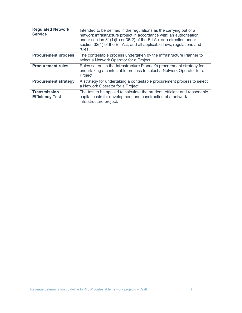| <b>Regulated Network</b><br><b>Service</b>    | Intended to be defined in the regulations as the carrying out of a<br>network infrastructure project in accordance with: an authorisation<br>under section $31(1)(b)$ or $36(2)$ of the EII Act or a direction under<br>section 32(1) of the EII Act; and all applicable laws, regulations and<br>rules. |
|-----------------------------------------------|----------------------------------------------------------------------------------------------------------------------------------------------------------------------------------------------------------------------------------------------------------------------------------------------------------|
| <b>Procurement process</b>                    | The contestable process undertaken by the Infrastructure Planner to<br>select a Network Operator for a Project.                                                                                                                                                                                          |
| <b>Procurement rules</b>                      | Rules set out in the Infrastructure Planner's procurement strategy for<br>undertaking a contestable process to select a Network Operator for a<br>Project.                                                                                                                                               |
| <b>Procurement strategy</b>                   | A strategy for undertaking a contestable procurement process to select<br>a Network Operator for a Project.                                                                                                                                                                                              |
| <b>Transmission</b><br><b>Efficiency Test</b> | The test to be applied to calculate the prudent, efficient and reasonable<br>capital costs for development and construction of a network<br>infrastructure project.                                                                                                                                      |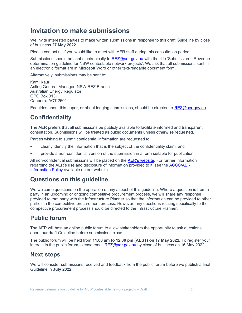# Invitation to make submissions

We invite interested parties to make written submissions in response to this draft Guideline by close of business 27 May 2022.

Please contact us if you would like to meet with AER staff during this consultation period.

Submissions should be sent electronically to REZ@aer.gov.au with the title 'Submission – Revenue determination guideline for NSW contestable network projects'. We ask that all submissions sent in an electronic format are in Microsoft Word or other text-readable document form.

Alternatively, submissions may be sent to:

Kami Kaur Acting General Manager, NSW REZ Branch Australian Energy Regulator GPO Box 3131 Canberra ACT 2601

Enquiries about this paper, or about lodging submissions, should be directed to REZ@aer.gov.au.

## **Confidentiality**

The AER prefers that all submissions be publicly available to facilitate informed and transparent consultation. Submissions will be treated as public documents unless otherwise requested.

Parties wishing to submit confidential information are requested to:

- clearly identify the information that is the subject of the confidentiality claim, and
- provide a non-confidential version of the submission in a form suitable for publication.

All non-confidential submissions will be placed on the AER's website. For further information regarding the AER's use and disclosure of information provided to it, see the **ACCC/AER** Information Policy available on our website.

### Questions on this guideline

We welcome questions on the operation of any aspect of this guideline. Where a question is from a party in an upcoming or ongoing competitive procurement process, we will share any response provided to that party with the Infrastructure Planner so that the information can be provided to other parties in the competitive procurement process. However, any questions relating specifically to the competitive procurement process should be directed to the Infrastructure Planner.

## Public forum

The AER will host an online public forum to allow stakeholders the opportunity to ask questions about our draft Guideline before submissions close.

The public forum will be held from 11.00 am to 12.30 pm (AEST) on 17 May 2022. To register your interest in the public forum, please email  $REZ@a$ er.gov.au by close of business on 16 May 2022.

### Next steps

We will consider submissions received and feedback from the public forum before we publish a final Guideline in July 2022.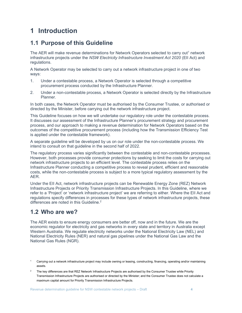# 1 Introduction

## 1.1 Purpose of this Guideline

The AER will make revenue determinations for Network Operators selected to carry out<sup>1</sup> network infrastructure projects under the NSW Electricity Infrastructure Investment Act 2020 (EII Act) and regulations.

A Network Operator may be selected to carry out a network infrastructure project in one of two ways:

- 1. Under a contestable process, a Network Operator is selected through a competitive procurement process conducted by the Infrastructure Planner.
- 2. Under a non-contestable process, a Network Operator is selected directly by the Infrastructure Planner.

In both cases, the Network Operator must be authorised by the Consumer Trustee, or authorised or directed by the Minister, before carrying out the network infrastructure project.

This Guideline focuses on how we will undertake our regulatory role under the contestable process. It discusses our assessment of the Infrastructure Planner's procurement strategy and procurement process, and our approach to making a revenue determination for Network Operators based on the outcomes of the competitive procurement process (including how the Transmission Efficiency Test is applied under the contestable framework).

A separate guideline will be developed by us on our role under the non-contestable process. We intend to consult on that guideline in the second half of 2022.

The regulatory process varies significantly between the contestable and non-contestable processes. However, both processes provide consumer protections by seeking to limit the costs for carrying out network infrastructure projects to an efficient level. The contestable process relies on the Infrastructure Planner conducting a competitive process to reveal prudent, efficient and reasonable costs, while the non-contestable process is subject to a more typical regulatory assessment by the AER.

Under the EII Act, network infrastructure projects can be Renewable Energy Zone (REZ) Network Infrastructure Projects or Priority Transmission Infrastructure Projects. In this Guideline, where we refer to a 'Project' or 'network infrastructure project' we are referring to either. Where the EII Act and regulations specify differences in processes for these types of network infrastructure projects, these differences are noted in this Guideline.<sup>2</sup>

## 1.2 Who are we?

The AER exists to ensure energy consumers are better off, now and in the future. We are the economic regulator for electricity and gas networks in every state and territory in Australia except Western Australia. We regulate electricity networks under the National Electricity Law (NEL) and National Electricity Rules (NER) and natural gas pipelines under the National Gas Law and the National Gas Rules (NGR).

2 The key differences are that REZ Network Infrastructure Projects are authorised by the Consumer Trustee while Priority Transmission Infrastructure Projects are authorised or directed by the Minister; and the Consumer Trustee does not calculate a maximum capital amount for Priority Transmission Infrastructure Projects.

Revenue determination guideline for NSW contestable network projects – Draft 4

<sup>1</sup> Carrying out a network infrastructure project may include owning or leasing, constructing, financing, operating and/or maintaining assets.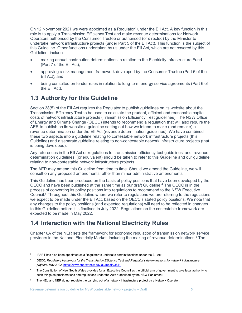On 12 November 2021 we were appointed as a Regulator<sup>3</sup> under the EII Act. A key function in this role is to apply a Transmission Efficiency Test and make revenue determinations for Network Operators authorised by the Consumer Trustee or authorised (or directed) by the Minister to undertake network infrastructure projects (under Part 5 of the EII Act). This function is the subject of this Guideline. Other functions undertaken by us under the EII Act, which are not covered by this Guideline, include:

- making annual contribution determinations in relation to the Electricity Infrastructure Fund (Part 7 of the EII Act);
- approving a risk management framework developed by the Consumer Trustee (Part 6 of the EII Act); and
- being consulted on tender rules in relation to long-term energy service agreements (Part 6 of the EII Act).

# 1.3 Authority for this Guideline

Section 38(5) of the EII Act requires the Regulator to publish guidelines on its website about the Transmission Efficiency Test to be used to calculate the prudent, efficient and reasonable capital costs of network infrastructure projects (Transmission Efficiency Test guidelines). The NSW Office of Energy and Climate Change (OECC) intends to recommend a regulation that will also require the AER to publish on its website a guideline setting out how we intend to make (and remake) a revenue determination under the EII Act (revenue determination guidelines). We have combined these two aspects into a guideline relating to contestable network infrastructure projects (this Guideline) and a separate guideline relating to non-contestable network infrastructure projects (that is being developed).

Any references in the EII Act or regulations to 'transmission efficiency test guidelines' and 'revenue determination guidelines' (or equivalent) should be taken to refer to this Guideline and our guideline relating to non-contestable network infrastructure projects.

The AER may amend this Guideline from time to time. Should we amend the Guideline, we will consult on any proposed amendments, other than minor administrative amendments.

This Guideline has been produced on the basis of policy positions that have been developed by the OECC and have been published at the same time as our draft Guideline.<sup>4</sup> The OECC is in the process of converting its policy positions into regulations to recommend to the NSW Executive Council.<sup>5</sup> Throughout this Guideline where we refer to regulations we are referring to the regulations we expect to be made under the EII Act, based on the OECC's stated policy positions. We note that any changes to the policy positions (and expected regulations) will need to be reflected in changes to this Guideline before it is finalised in July 2022. Regulations on the contestable framework are expected to be made in May 2022.

# 1.4 Interaction with the National Electricity Rules

Chapter 6A of the NER sets the framework for economic regulation of transmission network service providers in the National Electricity Market, including the making of revenue determinations.<sup>6</sup> The

 $6$  The NEL and NER do not regulate the carrying out of a network infrastructure project by a Network Operator.

<sup>3</sup> IPART has also been appointed as a Regulator to undertake certain functions under the EII Act.

<sup>4</sup> OECC, Regulatory framework for the Transmission Efficiency Test and Regulator's determinations for network infrastructure projects, May 2022: https://www.energy.nsw.gov.au/media/3541

 $5$  The Constitution of New South Wales provides for an Executive Council as the official arm of government to give legal authority to such things as proclamations and regulations under the Acts authorised by the NSW Parliament.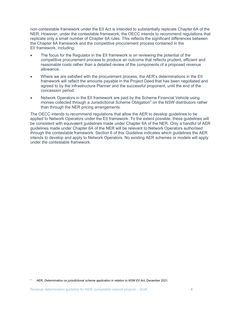non-contestable framework under the EII Act is intended to substantially replicate Chapter 6A of the NER. However, under the contestable framework, the OECC intends to recommend regulations that replicate only a small number of Chapter 6A rules. This reflects the significant differences between the Chapter 6A framework and the competitive procurement process contained in the EII framework, including:

- The focus for the Regulator in the EII framework is on reviewing the potential of the competitive procurement process to produce an outcome that reflects prudent, efficient and reasonable costs rather than a detailed review of the components of a proposed revenue allowance.
- Where we are satisfied with the procurement process, the AER's determinations in the EII framework will reflect the amounts payable in the Project Deed that has been negotiated and agreed to by the Infrastructure Planner and the successful proponent, until the end of the concession period.
- Network Operators in the EII framework are paid by the Scheme Financial Vehicle using monies collected through a Jurisdictional Scheme Obligation<sup>7</sup> on the NSW distributors rather than through the NER pricing arrangements.

The OECC intends to recommend regulations that allow the AER to develop guidelines to be applied to Network Operators under the EII framework. To the extent possible, these guidelines will be consistent with equivalent guidelines made under Chapter 6A of the NER. Only a handful of AER guidelines made under Chapter 6A of the NER will be relevant to Network Operators authorised through the contestable framework. Section 6 of this Guideline indicates which guidelines the AER intends to develop and apply to Network Operators. No existing AER schemes or models will apply under the contestable framework.

<sup>&</sup>lt;sup>7</sup> AER, Determination on jurisdictional scheme application in relation to NSW EII Act, December 2021.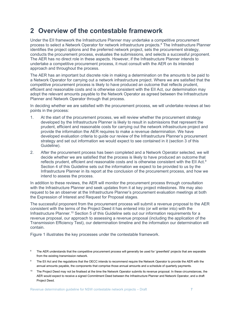# 2 Overview of the contestable framework

Under the EII framework the Infrastructure Planner may undertake a competitive procurement process to select a Network Operator for network infrastructure projects.<sup>8</sup> The Infrastructure Planner identifies the project options and the preferred network project, sets the procurement strategy, conducts the procurement process, evaluates the submissions, and selects a successful proponent. The AER has no direct role in these aspects. However, if the Infrastructure Planner intends to undertake a competitive procurement process, it must consult with the AER on its intended approach and throughout the process.

The AER has an important but discrete role in making a determination on the amounts to be paid to a Network Operator for carrying out a network infrastructure project. Where we are satisfied that the competitive procurement process is likely to have produced an outcome that reflects prudent, efficient and reasonable costs and is otherwise consistent with the EII Act, our determination may adopt the relevant amounts payable to the Network Operator as agreed between the Infrastructure Planner and Network Operator through that process.

In deciding whether we are satisfied with the procurement process, we will undertake reviews at two points in the process:

- 1. At the start of the procurement process, we will review whether the procurement strategy developed by the Infrastructure Planner is likely to result in submissions that represent the prudent, efficient and reasonable costs for carrying out the network infrastructure project and provide the information the AER requires to make a revenue determination. We have developed evaluation criteria to guide our review of the Infrastructure Planner's procurement strategy and set out information we would expect to see contained in it (section 3 of this Guideline).
- 2. After the procurement process has been completed and a Network Operator selected, we will decide whether we are satisfied that the process is likely to have produced an outcome that reflects prudent, efficient and reasonable costs and is otherwise consistent with the EII Act.<sup>9</sup> Section 4 of this Guideline sets out the information we expect to be provided to us by the Infrastructure Planner in its report at the conclusion of the procurement process, and how we intend to assess the process.

In addition to these reviews, the AER will monitor the procurement process through consultation with the Infrastructure Planner and seek updates from it at key project milestones. We may also request to be an observer at the Infrastructure Planner's procurement evaluation meetings at both the Expression of Interest and Request for Proposal stages.

The successful proponent from the procurement process will submit a revenue proposal to the AER consistent with the terms of the Project Deed it has entered into (or will enter into) with the Infrastructure Planner.<sup>10</sup> Section 5 of this Guideline sets out our information requirements for a revenue proposal, our approach to assessing a revenue proposal (including the application of the Transmission Efficiency Test), our determination timeline and the information our determination will contain.

Figure 1 illustrates the key processes under the contestable framework.

- 8 The AER understands that the competitive procurement process will generally be used for 'greenfield' projects that are separable from the existing transmission network.
- 9 The EII Act and the regulations that the OECC intends to recommend require the Network Operator to provide the AER with the annual amounts payable, the components that comprise those annual amounts and a schedule of quarterly payments.
- <sup>10</sup> The Project Deed may not be finalised at the time the Network Operator submits its revenue proposal. In these circumstances, the AER would expect to receive a signed Commitment Deed between the Infrastructure Planner and Network Operator, and a draft Project Deed.

Revenue determination guideline for NSW contestable network projects – Draft 7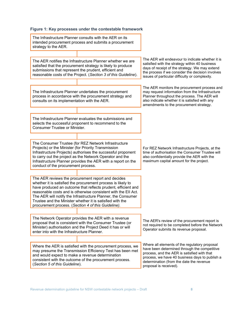#### Figure 1: Key processes under the contestable framework

The Infrastructure Planner consults with the AER on its intended procurement process and submits a procurement strategy to the AER. The AER notifies the Infrastructure Planner whether we are satisfied that the procurement strategy is likely to produce submissions that represent the prudent, efficient and reasonable costs of the Project. (Section 3 of this Guideline). The AER will endeavour to indicate whether it is satisfied with the strategy within 40 business days of receipt of the strategy. We may extend the process if we consider the decision involves issues of particular difficulty or complexity. The Infrastructure Planner undertakes the procurement process in accordance with the procurement strategy and consults on its implementation with the AER. The AER monitors the procurement process and may request information from the Infrastructure Planner throughout the process. The AER will also indicate whether it is satisfied with any amendments to the procurement strategy. The Infrastructure Planner evaluates the submissions and selects the successful proponent to recommend to the Consumer Trustee or Minister. The Consumer Trustee (for REZ Network Infrastructure Projects) or the Minister (for Priority Transmission Infrastructure Projects) authorises the successful proponent to carry out the project as the Network Operator and the Infrastructure Planner provides the AER with a report on the conduct of the procurement process. For REZ Network Infrastructure Projects, at the time of authorisation the Consumer Trustee will also confidentially provide the AER with the maximum capital amount for the project. The AER reviews the procurement report and decides whether it is satisfied the procurement process is likely to have produced an outcome that reflects prudent, efficient and reasonable costs and is otherwise consistent with the EII Act. The AER will notify the Infrastructure Planner, the Consumer Trustee and the Minister whether it is satisfied with the procurement process. (Section 4 of this Guideline). The Network Operator provides the AER with a revenue proposal that is consistent with the Consumer Trustee (or Minister) authorisation and the Project Deed it has or will enter into with the Infrastructure Planner. The AER's review of the procurement report is not required to be completed before the Network Operator submits its revenue proposal. Where the AER is satisfied with the procurement process, we may presume the Transmission Efficiency Test has been met and would expect to make a revenue determination consistent with the outcome of the procurement process. (Section 5 of this Guideline). Where all elements of the regulatory proposal have been determined through the competitive process, and the AER is satisfied with that process, we have 40 business days to publish a determination (from the date the revenue proposal is received).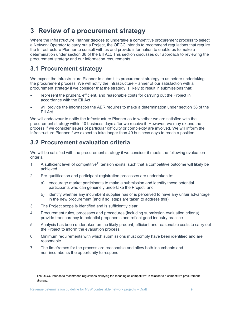# 3 Review of a procurement strategy

Where the Infrastructure Planner decides to undertake a competitive procurement process to select a Network Operator to carry out a Project, the OECC intends to recommend regulations that require the Infrastructure Planner to consult with us and provide information to enable us to make a determination under section 38 of the EII Act. This section discusses our approach to reviewing the procurement strategy and our information requirements.

## 3.1 Procurement strategy

We expect the Infrastructure Planner to submit its procurement strategy to us before undertaking the procurement process. We will notify the Infrastructure Planner of our satisfaction with a procurement strategy if we consider that the strategy is likely to result in submissions that:

- represent the prudent, efficient, and reasonable costs for carrying out the Project in accordance with the EII Act
- will provide the information the AER requires to make a determination under section 38 of the EII Act.

We will endeavour to notify the Infrastructure Planner as to whether we are satisfied with the procurement strategy within 40 business days after we receive it. However, we may extend the process if we consider issues of particular difficulty or complexity are involved. We will inform the Infrastructure Planner if we expect to take longer than 40 business days to reach a position.

## 3.2 Procurement evaluation criteria

We will be satisfied with the procurement strategy if we consider it meets the following evaluation criteria:

- 1. A sufficient level of competitive<sup>11</sup> tension exists, such that a competitive outcome will likely be achieved.
- 2. Pre-qualification and participant registration processes are undertaken to:
	- a) encourage market participants to make a submission and identify those potential participants who can genuinely undertake the Project; and
	- b) identify whether any incumbent supplier has or is perceived to have any unfair advantage in the new procurement (and if so, steps are taken to address this).
- 3. The Project scope is identified and is sufficiently clear.
- 4. Procurement rules, processes and procedures (including submission evaluation criteria) provide transparency to potential proponents and reflect good industry practice.
- 5. Analysis has been undertaken on the likely prudent, efficient and reasonable costs to carry out the Project to inform the evaluation process.
- 6. Minimum requirements with which submissions must comply have been identified and are reasonable.
- 7. The timeframes for the process are reasonable and allow both incumbents and non-incumbents the opportunity to respond.

<sup>11</sup> The OECC intends to recommend regulations clarifying the meaning of 'competitive' in relation to a competitive procurement strategy.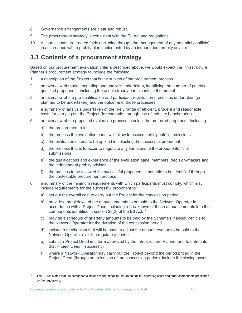- 8. Governance arrangements are clear and robust.
- 9. The procurement strategy is consistent with the EII Act and regulations.
- 10. All participants are treated fairly (including through the management of any potential conflicts) in accordance with a probity plan implemented by an independent probity advisor.

### 3.3 Contents of a procurement strategy

Based on our procurement evaluation criteria described above, we would expect the Infrastructure Planner's procurement strategy to include the following:

- 1. a description of the Project that is the subject of the procurement process
- 2. an overview of market sounding and analysis undertaken, identifying the number of potential qualified proponents, including those not already participants in the market
- 3. an overview of the pre-qualification and participant registration processes undertaken (or planned to be undertaken) and the outcome of those processes
- 4. a summary of analysis undertaken of the likely range of efficient, prudent and reasonable costs for carrying out the Project (for example, through use of industry benchmarks)
- 5. an overview of the proposed evaluation process to select the preferred proponent, including:
	- a) the procurement rules
	- b) the process the evaluation panel will follow to assess participants' submissions
	- c) the evaluation criteria to be applied in selecting the successful proponent
	- d) the process that is to occur to negotiate any variations to the proponents' final submissions
	- e) the qualifications and experience of the evaluation panel members, decision-makers and the independent probity adviser
	- f) the process to be followed if a successful proponent is not able to be identified through the contestable procurement process
- 6. a summary of the minimum requirements with which participants must comply, which may include requirements for the successful proponent to:
	- a) set out the overall cost to carry out the Project for the concession period
	- b) provide a breakdown of the annual amounts to be paid to the Network Operator in accordance with a Project Deed, including a breakdown of these annual amounts into the components identified in section 38(2) of the EII Act.<sup>12</sup>
	- c) provide a schedule of quarterly amounts to be paid by the Scheme Financial Vehicle to the Network Operator for the duration of the concession period
	- d) include a mechanism that will be used to adjust the annual revenue to be paid to the Network Operator over the regulatory period
	- e) submit a Project Deed in a form approved by the Infrastructure Planner and to enter into that Project Deed if successful
	- f) where a Network Operator may carry out the Project beyond the period priced in the Project Deed (through an extension of the concession period), include the closing asset

<sup>12</sup> The EII Act states that the components include return of capital, return on capital, operating costs and other components prescribed by the regulations.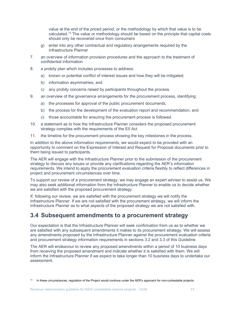value at the end of the priced period, or the methodology by which that value is to be calculated.<sup>13</sup> The value or methodology should be based on the principle that capital costs should only be recovered once from consumers

- g) enter into any other contractual and regulatory arrangements required by the Infrastructure Planner
- 7. an overview of information provision procedures and the approach to the treatment of confidential information
- 8. a probity plan which includes processes to address:
	- a) known or potential conflict of interest issues and how they will be mitigated;
	- b) information asymmetries; and
	- c) any probity concerns raised by participants throughout the process.
- 9. an overview of the governance arrangements for the procurement process, identifying:
	- a) the processes for approval of the public procurement documents;
	- b) the process for the development of the evaluation report and recommendation; and
	- c) those accountable for ensuring the procurement process is followed.
- 10. a statement as to how the Infrastructure Planner considers the proposed procurement strategy complies with the requirements of the EII Act
- 11. the timeline for the procurement process showing the key milestones in the process.

In addition to the above information requirements, we would expect to be provided with an opportunity to comment on the Expression of Interest and Request for Proposal documents prior to them being issued to participants.

The AER will engage with the Infrastructure Planner prior to the submission of the procurement strategy to discuss any issues or provide any clarifications regarding the AER's information requirements. We intend to apply the procurement evaluation criteria flexibly to reflect differences in project and procurement circumstances over time.

To support our review of a procurement strategy, we may engage an expert adviser to assist us. We may also seek additional information from the Infrastructure Planner to enable us to decide whether we are satisfied with the proposed procurement strategy.

If, following our review, we are satisfied with the procurement strategy we will notify the Infrastructure Planner. If we are not satisfied with the procurement strategy, we will inform the Infrastructure Planner as to what aspects of the proposed strategy we are not satisfied with.

### 3.4 Subsequent amendments to a procurement strategy

Our expectation is that the Infrastructure Planner will seek confirmation from us as to whether we are satisfied with any subsequent amendments it makes to its procurement strategy. We will assess any amendments proposed by the Infrastructure Planner against the procurement evaluation criteria and procurement strategy information requirements in sections 3.2 and 3.3 of this Guideline.

The AER will endeavour to review any proposed amendments within a period of 10 business days from receiving the proposed amendment and indicate whether it is satisfied with them. We will inform the Infrastructure Planner if we expect to take longer than 10 business days to undertake our assessment.

<sup>&</sup>lt;sup>13</sup> In these circumstances, regulation of the Project would continue under the AER's approach for non-contestable projects.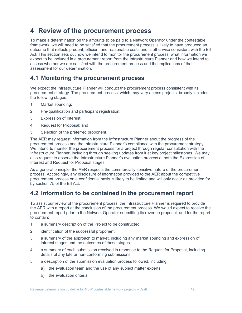# 4 Review of the procurement process

To make a determination on the amounts to be paid to a Network Operator under the contestable framework, we will need to be satisfied that the procurement process is likely to have produced an outcome that reflects prudent, efficient and reasonable costs and is otherwise consistent with the EII Act. This section sets out how we intend to monitor the procurement process, what information we expect to be included in a procurement report from the Infrastructure Planner and how we intend to assess whether we are satisfied with the procurement process and the implications of that assessment for our determination.

## 4.1 Monitoring the procurement process

We expect the Infrastructure Planner will conduct the procurement process consistent with its procurement strategy. The procurement process, which may vary across projects, broadly includes the following stages:

- 1. Market sounding;
- 2. Pre-qualification and participant registration;
- 3. Expression of Interest;
- 4. Request for Proposal; and
- 5. Selection of the preferred proponent.

The AER may request information from the Infrastructure Planner about the progress of the procurement process and the Infrastructure Planner's compliance with the procurement strategy. We intend to monitor the procurement process for a project through regular consultation with the Infrastructure Planner, including through seeking updates from it at key project milestones. We may also request to observe the Infrastructure Planner's evaluation process at both the Expression of Interest and Request for Proposal stages.

As a general principle, the AER respects the commercially sensitive nature of the procurement process. Accordingly, any disclosure of information provided to the AER about the competitive procurement process on a confidential basis is likely to be limited and will only occur as provided for by section 75 of the EII Act.

### 4.2 Information to be contained in the procurement report

To assist our review of the procurement process, the Infrastructure Planner is required to provide the AER with a report at the conclusion of the procurement process. We would expect to receive the procurement report prior to the Network Operator submitting its revenue proposal, and for the report to contain:

- 1. a summary description of the Project to be constructed
- 2. identification of the successful proponent
- 3. a summary of the approach to market, including any market sounding and expression of interest stages and the outcomes of those stages
- 4. a summary of each submission received in response to the Request for Proposal, including details of any late or non-conforming submissions
- 5. a description of the submission evaluation process followed, including:
	- a) the evaluation team and the use of any subject matter experts
	- b) the evaluation criteria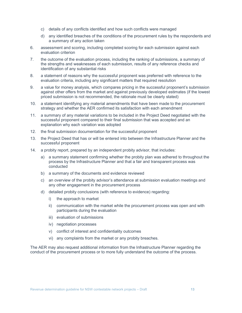- c) details of any conflicts identified and how such conflicts were managed
- d) any identified breaches of the conditions of the procurement rules by the respondents and a summary of any action taken
- 6. assessment and scoring, including completed scoring for each submission against each evaluation criterion
- 7. the outcome of the evaluation process, including the ranking of submissions, a summary of the strengths and weaknesses of each submission, results of any reference checks and identification of any substantial risks
- 8. a statement of reasons why the successful proponent was preferred with reference to the evaluation criteria, including any significant matters that required resolution
- 9. a value for money analysis, which compares pricing in the successful proponent's submission against other offers from the market and against previously developed estimates (if the lowest priced submission is not recommended, the rationale must be clearly stated)
- 10. a statement identifying any material amendments that have been made to the procurement strategy and whether the AER confirmed its satisfaction with each amendment
- 11. a summary of any material variations to be included in the Project Deed negotiated with the successful proponent compared to their final submission that was accepted and an explanation why each variation was adopted
- 12. the final submission documentation for the successful proponent
- 13. the Project Deed that has or will be entered into between the Infrastructure Planner and the successful proponent
- 14. a probity report, prepared by an independent probity advisor, that includes:
	- a) a summary statement confirming whether the probity plan was adhered to throughout the process by the Infrastructure Planner and that a fair and transparent process was conducted
	- b) a summary of the documents and evidence reviewed
	- c) an overview of the probity advisor's attendance at submission evaluation meetings and any other engagement in the procurement process
	- d) detailed probity conclusions (with reference to evidence) regarding:
		- i) the approach to market
		- ii) communication with the market while the procurement process was open and with participants during the evaluation
		- iii) evaluation of submissions
		- iv) negotiation processes
		- v) conflict of interest and confidentiality outcomes
		- vi) any complaints from the market or any probity breaches.

The AER may also request additional information from the Infrastructure Planner regarding the conduct of the procurement process or to more fully understand the outcome of the process.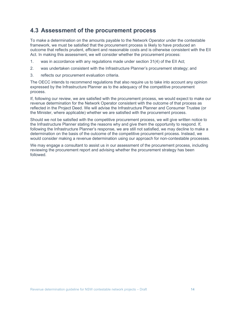### 4.3 Assessment of the procurement process

To make a determination on the amounts payable to the Network Operator under the contestable framework, we must be satisfied that the procurement process is likely to have produced an outcome that reflects prudent, efficient and reasonable costs and is otherwise consistent with the EII Act. In making this assessment, we will consider whether the procurement process:

- 1. was in accordance with any regulations made under section 31(4) of the EII Act;
- 2. was undertaken consistent with the Infrastructure Planner's procurement strategy; and
- 3. reflects our procurement evaluation criteria.

The OECC intends to recommend regulations that also require us to take into account any opinion expressed by the Infrastructure Planner as to the adequacy of the competitive procurement process.

If, following our review, we are satisfied with the procurement process, we would expect to make our revenue determination for the Network Operator consistent with the outcome of that process as reflected in the Project Deed. We will advise the Infrastructure Planner and Consumer Trustee (or the Minister, where applicable) whether we are satisfied with the procurement process.

Should we not be satisfied with the competitive procurement process, we will give written notice to the Infrastructure Planner stating the reasons why and give them the opportunity to respond. If, following the Infrastructure Planner's response, we are still not satisfied, we may decline to make a determination on the basis of the outcome of the competitive procurement process. Instead, we would consider making a revenue determination using our approach for non-contestable processes.

We may engage a consultant to assist us in our assessment of the procurement process, including reviewing the procurement report and advising whether the procurement strategy has been followed.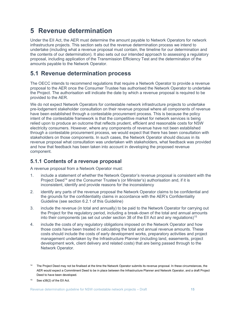# 5 Revenue determination

Under the EII Act, the AER must determine the amount payable to Network Operators for network infrastructure projects. This section sets out the revenue determination process we intend to undertake (including what a revenue proposal must contain, the timeline for our determination and the contents of our determination). It also sets out our intended approach to assessing a regulatory proposal, including application of the Transmission Efficiency Test and the determination of the amounts payable to the Network Operator.

# 5.1 Revenue determination process

The OECC intends to recommend regulations that require a Network Operator to provide a revenue proposal to the AER once the Consumer Trustee has authorised the Network Operator to undertake the Project. The authorisation will indicate the date by which a revenue proposal is required to be provided to the AER.

We do not expect Network Operators for contestable network infrastructure projects to undertake pre-lodgement stakeholder consultation on their revenue proposal where all components of revenue have been established through a contestable procurement process. This is because the policy intent of the contestable framework is that the competitive market for network services is being relied upon to produce an outcome that reflects prudent, efficient and reasonable costs for NSW electricity consumers. However, where any components of revenue have not been established through a contestable procurement process, we would expect that there has been consultation with stakeholders on those components. In such cases, the Network Operator should discuss in its revenue proposal what consultation was undertaken with stakeholders, what feedback was provided and how that feedback has been taken into account in developing the proposed revenue component.

### 5.1.1 Contents of a revenue proposal

A revenue proposal from a Network Operator must:

- 1. include a statement of whether the Network Operator's revenue proposal is consistent with the Project Deed<sup>14</sup> and the Consumer Trustee's (or Minister's) authorisation and, if it is inconsistent, identify and provide reasons for the inconsistency
- 2. identify any parts of the revenue proposal the Network Operator claims to be confidential and the grounds for the confidentiality claims in accordance with the AER's Confidentiality Guideline (see section 6.2.1 of this Guideline)
- 3. include the revenue (in total and annually) to be paid to the Network Operator for carrying out the Project for the regulatory period, including a break-down of the total and annual amounts into their components (as set out under section 38 of the EII Act and any regulations)<sup>15</sup>
- 4. include the costs of any regulatory obligations imposed on the Network Operator and how those costs have been treated in calculating the total and annual revenue amounts. These costs should include the costs of early development works, preparatory activities and project management undertaken by the Infrastructure Planner (including land, easements, project development work, client delivery and related costs) that are being passed through to the Network Operator.

<sup>&</sup>lt;sup>14</sup> The Project Deed may not be finalised at the time the Network Operator submits its revenue proposal. In these circumstances, the AER would expect a Commitment Deed to be in place between the Infrastructure Planner and Network Operator, and a draft Project Deed to have been developed.

 $15$  See s38(2) of the EII Act.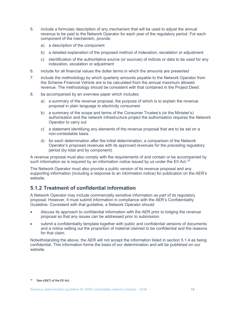- 5. include a formulaic description of any mechanism that will be used to adjust the annual revenue to be paid to the Network Operator for each year of the regulatory period. For each component of the mechanism, provide:
	- a) a description of the component
	- b) a detailed explanation of the proposed method of indexation, escalation or adjustment
	- c) identification of the authoritative source (or sources) of indices or data to be used for any indexation, escalation or adjustment
- 6. include for all financial values the dollar terms in which the amounts are presented
- 7. include the methodology by which quarterly amounts payable to the Network Operator from the Scheme Financial Vehicle are to be calculated from the annual maximum allowed revenue. The methodology should be consistent with that contained in the Project Deed.
- 8. be accompanied by an overview paper which includes:
	- a) a summary of the revenue proposal, the purpose of which is to explain the revenue proposal in plain language to electricity consumers
	- b) a summary of the scope and terms of the Consumer Trustee's (or the Minister's) authorisation and the network infrastructure project the authorisation requires the Network Operator to carry out
	- c) a statement identifying any elements of the revenue proposal that are to be set on a non-contestable basis
	- d) for each determination after the initial determination, a comparison of the Network Operator's proposed revenues with its approved revenues for the preceding regulatory period (by total and by component).

A revenue proposal must also comply with the requirements of and contain or be accompanied by such information as is required by an information notice issued by us under the EII Act.<sup>16</sup>

The Network Operator must also provide a public version of its revenue proposal and any supporting information (including a response to an information notice) for publication on the AER's website.

#### 5.1.2 Treatment of confidential information

A Network Operator may include commercially sensitive information as part of its regulatory proposal. However, it must submit information in compliance with the AER's Confidentiality Guideline. Consistent with that guideline, a Network Operator should:

- discuss its approach to confidential information with the AER prior to lodging the revenue proposal so that any issues can be addressed prior to submission
- submit a confidentiality template together with public and confidential versions of documents and a notice setting out the proportion of material claimed to be confidential and the reasons for that claim.

Notwithstanding the above, the AER will not accept the information listed in section 5.1.4 as being confidential. This information forms the basis of our determination and will be published on our website.

<sup>16</sup> See s38(7) of the EII Act.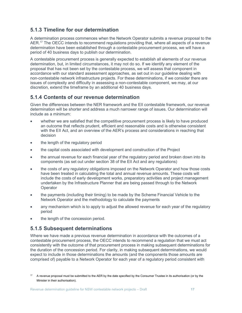### 5.1.3 Timeline for our determination

A determination process commences when the Network Operator submits a revenue proposal to the AER.<sup>17</sup> The OECC intends to recommend regulations providing that, where all aspects of a revenue determination have been established through a contestable procurement process, we will have a period of 40 business days to publish our determination.

A contestable procurement process is generally expected to establish all elements of our revenue determination, but, in limited circumstances, it may not do so. If we identify any element of the proposal that has not been set by the contestable process, we will assess that component in accordance with our standard assessment approaches, as set out in our guideline dealing with non-contestable network infrastructure projects. For these determinations, if we consider there are issues of complexity and difficulty in assessing a non-contestable component, we may, at our discretion, extend the timeframe by an additional 40 business days.

### 5.1.4 Contents of our revenue determination

Given the differences between the NER framework and the EII contestable framework, our revenue determination will be shorter and address a much narrower range of issues. Our determination will include as a minimum:

- whether we are satisfied that the competitive procurement process is likely to have produced an outcome that reflects prudent, efficient and reasonable costs and is otherwise consistent with the EII Act, and an overview of the AER's process and considerations in reaching that decision
- the length of the regulatory period
- the capital costs associated with development and construction of the Project
- the annual revenue for each financial year of the regulatory period and broken down into its components (as set out under section 38 of the EII Act and any regulations)
- the costs of any regulatory obligations imposed on the Network Operator and how those costs have been treated in calculating the total and annual revenue amounts. These costs will include the costs of early development works, preparatory activities and project management undertaken by the Infrastructure Planner that are being passed through to the Network **Operator**
- the payments (including their timing) to be made by the Scheme Financial Vehicle to the Network Operator and the methodology to calculate the payments
- any mechanism which is to apply to adjust the allowed revenue for each year of the regulatory period
- the length of the concession period.

#### 5.1.5 Subsequent determinations

Where we have made a previous revenue determination in accordance with the outcomes of a contestable procurement process, the OECC intends to recommend a regulation that we must act consistently with the outcome of that procurement process in making subsequent determinations for the duration of the concession period. For clarity, in making subsequent determinations, we would expect to include in those determinations the amounts (and the components those amounts are comprised of) payable to a Network Operator for each year of a regulatory period consistent with

<sup>17</sup> A revenue proposal must be submitted to the AER by the date specified by the Consumer Trustee in its authorisation (or by the Minister in their authorisation).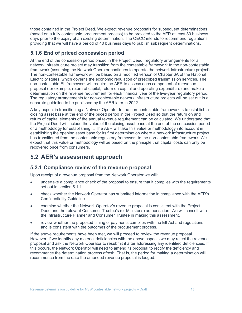those contained in the Project Deed. We expect revenue proposals for subsequent determinations (based on a fully contestable procurement process) to be provided to the AER at least 80 business days prior to the expiry of an existing determination. The OECC intends to recommend regulations providing that we will have a period of 40 business days to publish subsequent determinations.

#### 5.1.6 End of priced concession period

At the end of the concession period priced in the Project Deed, regulatory arrangements for a network infrastructure project may transition from the contestable framework to the non-contestable framework (assuming the Network Operator continues to operate the network infrastructure project). The non-contestable framework will be based on a modified version of Chapter 6A of the National Electricity Rules, which governs the economic regulation of prescribed transmission services. The non-contestable EII framework will require the AER to assess each component of a revenue proposal (for example, return of capital, return on capital and operating expenditure) and make a determination on the revenue requirement for each financial year of the five-year regulatory period. The regulatory arrangements for non-contestable network infrastructure projects will be set out in a separate guideline to be published by the AER later in 2022.

A key aspect in transitioning a Network Operator to the non-contestable framework is to establish a closing asset base at the end of the priced period in the Project Deed so that the return on and return of capital elements of the annual revenue requirement can be calculated. We understand that the Project Deed will include the value of the closing asset base at the end of the concession period or a methodology for establishing it. The AER will take this value or methodology into account in establishing the opening asset base for its first determination where a network infrastructure project has transitioned from the contestable regulatory framework to the non-contestable framework. We expect that this value or methodology will be based on the principle that capital costs can only be recovered once from consumers.

# 5.2 AER's assessment approach

### 5.2.1 Compliance review of the revenue proposal

Upon receipt of a revenue proposal from the Network Operator we will:

- undertake a compliance check of the proposal to ensure that it complies with the requirements set out in section 5.1.1.
- check whether the Network Operator has submitted information in compliance with the AER's Confidentiality Guideline.
- examine whether the Network Operator's revenue proposal is consistent with the Project Deed and the relevant Consumer Trustee's (or Minister's) authorisation. We will consult with the Infrastructure Planner and Consumer Trustee in making this assessment.
- review whether the proposed timing of payments complies with the EII Act and regulations and is consistent with the outcomes of the procurement process.

If the above requirements have been met, we will proceed to review the revenue proposal. However, if we identify any material deficiencies with the above aspects we may reject the revenue proposal and ask the Network Operator to resubmit it after addressing any identified deficiencies. If this occurs, the Network Operator will need to amend its proposal to rectify the deficiency and recommence the determination process afresh. That is, the period for making a determination will recommence from the date the amended revenue proposal is lodged.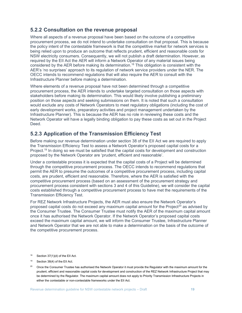#### 5.2.2 Consultation on the revenue proposal

Where all aspects of a revenue proposal have been based on the outcome of a competitive procurement process, we do not intend to undertake consultation on that proposal. This is because the policy intent of the contestable framework is that the competitive market for network services is being relied upon to produce an outcome that reflects prudent, efficient and reasonable costs for NSW electricity consumers. Consequently, we will not publish a draft determination. However, as required by the EII Act the AER will inform a Network Operator of any material issues being considered by the AER before making its determination.<sup>18</sup> This obligation is consistent with the AER's 'no surprises' approach to its regulation of network service providers under the NER. The OECC intends to recommend regulations that will also require the AER to consult with the Infrastructure Planner before making a determination.

Where elements of a revenue proposal have not been determined through a competitive procurement process, the AER intends to undertake targeted consultation on those aspects with stakeholders before making its determination. This would likely involve publishing a preliminary position on those aspects and seeking submissions on them. It is noted that such a consultation would exclude any costs of Network Operators to meet regulatory obligations (including the cost of early development works, preparatory activities and project management undertaken by the Infrastructure Planner). This is because the AER has no role in reviewing these costs and the Network Operator will have a legally binding obligation to pay these costs as set out in the Project Deed.

#### 5.2.3 Application of the Transmission Efficiency Test

Before making our revenue determination under section 38 of the EII Act we are required to apply the Transmission Efficiency Test to assess a Network Operator's proposed capital costs for a Project.<sup>19</sup> In doing so we must be satisfied that the capital costs for development and construction proposed by the Network Operator are 'prudent, efficient and reasonable'.

Under a contestable process it is expected that the capital costs of a Project will be determined through the competitive procurement process. The OECC intends to recommend regulations that permit the AER to presume the outcomes of a competitive procurement process, including capital costs, are prudent, efficient and reasonable. Therefore, where the AER is satisfied with the competitive procurement process (based on an assessment of the procurement strategy and procurement process consistent with sections 3 and 4 of this Guideline), we will consider the capital costs established through a competitive procurement process to have met the requirements of the Transmission Efficiency Test.

For REZ Network Infrastructure Projects, the AER must also ensure the Network Operator's proposed capital costs do not exceed any maximum capital amount for the Project<sup>20</sup> as advised by the Consumer Trustee. The Consumer Trustee must notify the AER of the maximum capital amount once it has authorised the Network Operator. If the Network Operator's proposed capital costs exceed the maximum capital amount, we will inform the Consumer Trustee, Infrastructure Planner and Network Operator that we are not able to make a determination on the basis of the outcome of the competitive procurement process.

- 18 Section  $37(1)(d)$  of the EII Act.
- <sup>19</sup> Section 38(4) of the EII Act.
- <sup>20</sup> Once the Consumer Trustee has authorised the Network Operator it must provide the Regulator with the maximum amount for the prudent, efficient and reasonable capital costs for development and construction of the REZ Network Infrastructure Project that may be determined by the Regulator. The maximum capital amount does not apply to Priority Transmission Infrastructure Projects in either the contestable or non-contestable frameworks under the EII Act.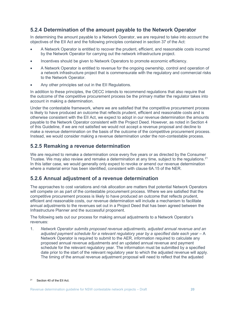### 5.2.4 Determination of the amount payable to the Network Operator

In determining the amount payable to a Network Operator, we are required to take into account the objectives of the EII Act and the following principles contained in section 37 of the Act:

- A Network Operator is entitled to recover the prudent, efficient, and reasonable costs incurred by the Network Operator for carrying out the network infrastructure project.
- Incentives should be given to Network Operators to promote economic efficiency.
- A Network Operator is entitled to revenue for the ongoing ownership, control and operation of a network infrastructure project that is commensurate with the regulatory and commercial risks to the Network Operator.
- Any other principles set out in the EII Regulations.

In addition to these principles, the OECC intends to recommend regulations that also require that the outcome of the competitive procurement process be the primary matter the regulator takes into account in making a determination.

Under the contestable framework, where we are satisfied that the competitive procurement process is likely to have produced an outcome that reflects prudent, efficient and reasonable costs and is otherwise consistent with the EII Act, we expect to adopt in our revenue determination the amounts payable to the Network Operator consistent with the Project Deed. However, as noted in Section 4 of this Guideline, if we are not satisfied we would not accept a revenue proposal and decline to make a revenue determination on the basis of the outcome of the competitive procurement process. Instead, we would consider making a revenue determination under the non-contestable process.

#### 5.2.5 Remaking a revenue determination

We are required to remake a determination once every five years or as directed by the Consumer Trustee. We may also review and remake a determination at any time, subject to the regulations.  $2<sup>1</sup>$ In this latter case, we would generally only expect to revoke or amend our revenue determination where a material error has been identified, consistent with clause 6A.15 of the NER.

#### 5.2.6 Annual adjustment of a revenue determination

The approaches to cost variations and risk allocation are matters that potential Network Operators will compete on as part of the contestable procurement process. Where we are satisfied that the competitive procurement process is likely to have produced an outcome that reflects prudent, efficient and reasonable costs, our revenue determination will include a mechanism to facilitate annual adjustments to the revenues set out in a Project Deed that has been agreed between the Infrastructure Planner and the successful proponent.

The following sets out our process for making annual adjustments to a Network Operator's revenues:

1. Network Operator submits proposed revenue adjustments, adjusted annual revenue and an adjusted payment schedule for a relevant regulatory year by a specified date each year – A Network Operator is required to submit to the AER, information required to calculate any proposed annual revenue adjustments and an updated annual revenue and payment schedule for the relevant regulatory year. The information must be submitted by a specified date prior to the start of the relevant regulatory year to which the adjusted revenue will apply. The timing of the annual revenue adjustment proposal will need to reflect that the adjusted

<sup>21</sup> Section 40 of the EII Act.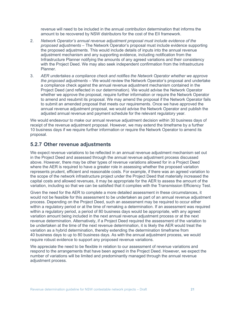revenue will need to be included in the annual contribution determination that informs the amount to be recovered by NSW distributors for the cost of the EII framework.

- 2. Network Operator's annual revenue adjustment proposal must include evidence of the proposed adjustments – The Network Operator's proposal must include evidence supporting the proposed adjustments. This would include details of inputs into the annual revenue adjustment mechanism and any supporting evidence, including notification from the Infrastructure Planner notifying the amounts of any agreed variations and their consistency with the Project Deed. We may also seek independent confirmation from the Infrastructure Planner.
- 3. AER undertakes a compliance check and notifies the Network Operator whether we approve the proposed adjustments – We would review the Network Operator's proposal and undertake a compliance check against the annual revenue adjustment mechanism contained in the Project Deed (and reflected in our determination). We would advise the Network Operator whether we approve the proposal, require further information or require the Network Operator to amend and resubmit its proposal. We may amend the proposal if the Network Operator fails to submit an amended proposal that meets our requirements. Once we have approved the annual revenue adjustment proposal, we would advise the Network Operator and publish the adjusted annual revenue and payment schedule for the relevant regulatory year.

We would endeavour to make our annual revenue adjustment decision within 30 business days of receipt of the revenue adjustment proposal. However, we may extend the timeframe by a further 10 business days if we require further information or require the Network Operator to amend its proposal.

#### 5.2.7 Other revenue adjustments

We expect revenue variations to be reflected in an annual revenue adjustment mechanism set out in the Project Deed and assessed through the annual revenue adjustment process discussed above. However, there may be other types of revenue variations allowed for in a Project Deed where the AER is required to have a greater role in assessing whether the proposed variation represents prudent, efficient and reasonable costs. For example, if there was an agreed variation to the scope of the network infrastructure project under the Project Deed that materially increased the capital costs and allowed revenues, it may be appropriate for the AER to assess the amount of the variation, including so that we can be satisfied that it complies with the Transmission Efficiency Test.

Given the need for the AER to complete a more detailed assessment in these circumstances, it would not be feasible for this assessment to be undertaken as part of an annual revenue adjustment process. Depending on the Project Deed, such an assessment may be required to occur either within a regulatory period or at the time of remaking a determination. If an assessment was required within a regulatory period, a period of 80 business days would be appropriate, with any agreed variation amount being included in the next annual revenue adjustment process or at the next revenue determination. Alternatively, if a Project Deed required the assessment of the variation to be undertaken at the time of the next revenue determination, it is likely the AER would treat the variation as a hybrid determination, thereby extending the determination timeframe from 40 business days to up to 80 business days. As with the annual adjustment process, we would require robust evidence to support any proposed revenue variations.

We appreciate the need to be flexible in relation to our assessment of revenue variations and respond to the arrangements that have been agreed in the Project Deed. However, we expect the number of variations will be limited and predominantly managed through the annual revenue adjustment process.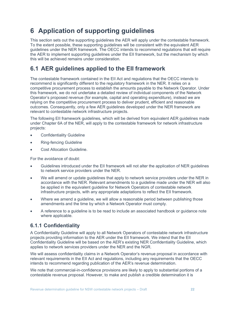# 6 Application of supporting guidelines

This section sets out the supporting guidelines the AER will apply under the contestable framework. To the extent possible, these supporting guidelines will be consistent with the equivalent AER guidelines under the NER framework. The OECC intends to recommend regulations that will require the AER to implement supporting guidelines under the EII framework, but the mechanism by which this will be achieved remains under consideration.

## 6.1 AER guidelines applied to the EII framework

The contestable framework contained in the EII Act and regulations that the OECC intends to recommend is significantly different to the regulatory framework in the NER. It relies on a competitive procurement process to establish the amounts payable to the Network Operator. Under this framework, we do not undertake a detailed review of individual components of the Network Operator's proposed revenue (for example, capital and operating expenditure), instead we are relying on the competitive procurement process to deliver prudent, efficient and reasonable outcomes. Consequently, only a few AER guidelines developed under the NER framework are relevant to contestable network infrastructure projects.

The following EII framework guidelines, which will be derived from equivalent AER guidelines made under Chapter 6A of the NER, will apply to the contestable framework for network infrastructure projects:

- Confidentiality Guideline
- Ring-fencing Guideline
- Cost Allocation Guideline.

For the avoidance of doubt:

- Guidelines introduced under the EII framework will not alter the application of NER guidelines to network service providers under the NER.
- We will amend or update guidelines that apply to network service providers under the NER in accordance with the NER. Relevant amendments to a guideline made under the NER will also be applied in the equivalent guideline for Network Operators of contestable network infrastructure projects, with any appropriate adaptations to reflect the EII framework.
- Where we amend a guideline, we will allow a reasonable period between publishing those amendments and the time by which a Network Operator must comply.
- A reference to a guideline is to be read to include an associated handbook or guidance note where applicable.

#### 6.1.1 Confidentiality

A Confidentiality Guideline will apply to all Network Operators of contestable network infrastructure projects providing information to the AER under the EII framework. We intend that the EII Confidentiality Guideline will be based on the AER's existing NER Confidentiality Guideline, which applies to network services providers under the NER and the NGR.

We will assess confidentiality claims in a Network Operator's revenue proposal in accordance with relevant requirements in the EII Act and regulations, including any requirements that the OECC intends to recommend regarding publication of the AER's revenue determination.

We note that commercial-in-confidence provisions are likely to apply to substantial portions of a contestable revenue proposal. However, to make and publish a credible determination it is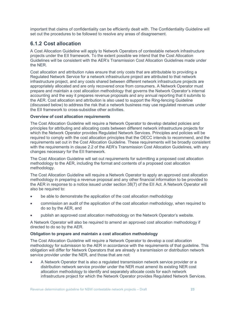important that claims of confidentiality can be efficiently dealt with. The Confidentiality Guideline will set out the procedures to be followed to resolve any areas of disagreement.

#### 6.1.2 Cost allocation

A Cost Allocation Guideline will apply to Network Operators of contestable network infrastructure projects under the EII framework. To the extent possible we intend that the Cost Allocation Guidelines will be consistent with the AER's Transmission Cost Allocation Guidelines made under the NER.

Cost allocation and attribution rules ensure that only costs that are attributable to providing a Regulated Network Service for a network infrastructure project are attributed to that network infrastructure project, and any costs shared between different network infrastructure projects are appropriately allocated and are only recovered once from consumers. A Network Operator must prepare and maintain a cost allocation methodology that governs the Network Operator's internal accounting and the way it prepares revenue proposals and any annual reporting that it submits to the AER. Cost allocation and attribution is also used to support the Ring-fencing Guideline (discussed below) to address the risk that a network business may use regulated revenues under the EII framework to cross-subsidise other activities.

#### Overview of cost allocation requirements

The Cost Allocation Guideline will require a Network Operator to develop detailed policies and principles for attributing and allocating costs between different network infrastructure projects for which the Network Operator provides Regulated Network Services. Principles and policies will be required to comply with the cost allocation principles that the OECC intends to recommend, and the requirements set out in the Cost Allocation Guideline. These requirements will be broadly consistent with the requirements in clause 2.2 of the AER's Transmission Cost Allocation Guidelines, with any changes necessary for the EII framework.

The Cost Allocation Guideline will set out requirements for submitting a proposed cost allocation methodology to the AER, including the format and contents of a proposed cost allocation methodology.

The Cost Allocation Guideline will require a Network Operator to apply an approved cost allocation methodology in preparing a revenue proposal and any other financial information to be provided to the AER in response to a notice issued under section 38(7) of the EII Act. A Network Operator will also be required to:

- be able to demonstrate the application of the cost allocation methodology
- commission an audit of the application of the cost allocation methodology, when required to do so by the AER, and
- publish an approved cost allocation methodology on the Network Operator's website.

A Network Operator will also be required to amend an approved cost allocation methodology if directed to do so by the AER.

#### Obligation to prepare and maintain a cost allocation methodology

The Cost Allocation Guideline will require a Network Operator to develop a cost allocation methodology for submission to the AER in accordance with the requirements of that guideline. This obligation will differ for Network Operators that are already a transmission or distribution network service provider under the NER, and those that are not:

 A Network Operator that is also a regulated transmission network service provider or a distribution network service provider under the NER must amend its existing NER cost allocation methodology to identify and separately allocate costs for each network infrastructure project for which the Network Operator provides Regulated Network Services.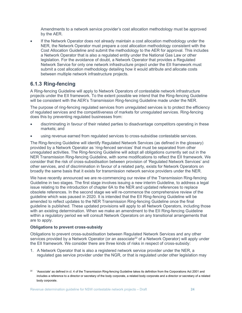Amendments to a network service provider's cost allocation methodology must be approved by the AER.

• If the Network Operator does not already maintain a cost allocation methodology under the NER, the Network Operator must prepare a cost allocation methodology consistent with the Cost Allocation Guideline and submit the methodology to the AER for approval. This includes a Network Operator that is also a regulated entity under the National Gas Law or other legislation. For the avoidance of doubt, a Network Operator that provides a Regulated Network Service for only one network infrastructure project under the EII framework must submit a cost allocation methodology detailing how it would attribute and allocate costs between multiple network infrastructure projects.

#### 6.1.3 Ring-fencing

A Ring-fencing Guideline will apply to Network Operators of contestable network infrastructure projects under the EII framework. To the extent possible we intend that the Ring-fencing Guideline will be consistent with the AER's Transmission Ring-fencing Guideline made under the NER.

The purpose of ring-fencing regulated services from unregulated services is to protect the efficiency of regulated services and the competitiveness of markets for unregulated services. Ring-fencing does this by preventing regulated businesses from:

- discriminating in favour of their related parties to disadvantage competitors operating in these markets; and
- using revenue earned from regulated services to cross-subsidise contestable services.

The Ring-fencing Guideline will identify Regulated Network Services (as defined in the glossary) provided by a Network Operator as 'ring-fenced services' that must be separated from other unregulated activities. The Ring-fencing Guideline will adopt all obligations currently set out in the NER Transmission Ring-fencing Guideline, with some modifications to reflect the EII framework. We consider that the risk of cross-subsidisation between provision of 'Regulated Network Services' and other services, and of discrimination in favour of a related party, exists for Network Operators on broadly the same basis that it exists for transmission network service providers under the NER.

We have recently announced we are re-commencing our review of the Transmission Ring-fencing Guideline in two stages. The first stage involves issuing a new interim Guideline, to address a legal issue relating to the introduction of chapter 6A to the NER and updated references to replace obsolete references. In the second stage we will re-commence the comprehensive review of the guideline which was paused in 2020. It is intended that the EII Ring-fencing Guideline will be amended to reflect updates to the NER Transmission Ring-fencing Guideline once the final guideline is published. These updated provisions will apply to all Network Operators, including those with an existing determination. When we make an amendment to the EII Ring-fencing Guideline within a regulatory period we will consult Network Operators on any transitional arrangements that are to apply.

#### Obligations to prevent cross-subsidy

Obligations to prevent cross-subsidisation between Regulated Network Services and any other services provided by a Network Operator (or an associate<sup>22</sup> of a Network Operator) will apply under the EII framework. We consider there are three kinds of risks in respect of cross-subsidy:

1. A Network Operator that is also a registered network service provider under the NER, a regulated gas service provider under the NGR, or that is regulated under other legislation may

<sup>&</sup>lt;sup>22</sup> 'Associate' as defined in cl. 4 of the Transmission Ring-fencing Guideline takes its definition from the Corporations Act 2001 and includes a reference to a director or secretary of the body corporate, a related body corporate and a director or secretary of a related body corporate.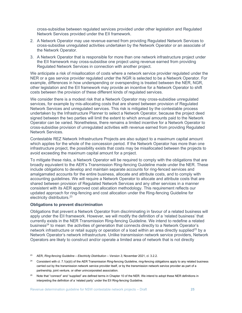cross-subsidise between regulated services provided under other legislation and Regulated Network Services provided under the EII framework.

- 2. A Network Operator may use revenue earned from providing Regulated Network Services to cross-subsidise unregulated activities undertaken by the Network Operator or an associate of the Network Operator.
- 3. A Network Operator that is responsible for more than one network infrastructure project under the EII framework may cross-subsidise one project using revenue earned from providing Regulated Network Services in connection with another project.

We anticipate a risk of misallocation of costs where a network service provider regulated under the NER or a gas service provider regulated under the NGR is selected to be a Network Operator. For example, differences in how underspending or overspending is treated between the NER, NGR, other legislation and the EII framework may provide an incentive for a Network Operator to shift costs between the provision of these different kinds of regulated services.

We consider there is a modest risk that a Network Operator may cross-subsidise unregulated services, for example by mis-allocating costs that are shared between provision of Regulated Network Services and unregulated services. This risk is mitigated by the contestable process undertaken by the Infrastructure Planner to select a Network Operator, because the project deed signed between the two parties will limit the extent to which annual amounts paid to the Network Operator can be varied. Nonetheless, there remains a limited incentive for a Network Operator to cross-subsidise provision of unregulated activities with revenue earned from providing Regulated Network Services.

Contestable REZ Network Infrastructure Projects are also subject to a maximum capital amount which applies for the whole of the concession period. If the Network Operator has more than one infrastructure project, the possibility exists that costs may be misallocated between the projects to avoid exceeding the maximum capital amount for a project.

To mitigate these risks, a Network Operator will be required to comply with the obligations that are broadly equivalent to the AER's Transmission Ring-fencing Guideline made under the NER. These include obligations to develop and maintain separate accounts for ring-fenced services and amalgamated accounts for the entire business, allocate and attribute costs, and to comply with accounting guidelines. We will require a Network Operator to allocate and attribute costs that are shared between provision of Regulated Network Services and any other services in a manner consistent with its AER approved cost allocation methodology. This requirement reflects our updated approach for ring-fencing and cost allocation under the Ring-fencing Guideline for electricity distributors.<sup>23</sup>

#### Obligations to prevent discrimination

Obligations that prevent a Network Operator from discriminating in favour of a related business will apply under the EII framework. However, we will modify the definition of a 'related business' that currently exists in the NER Transmission Ring-fencing Guideline. We intend to redefine a related business<sup>24</sup> to mean: the activities of generation that connects directly to a Network Operator's network infrastructure or retail supply or operation of a load within an area directly supplied<sup>25</sup> by a Network Operator's network infrastructure. Unlike transmission network service providers, Network Operators are likely to construct and/or operate a limited area of network that is not directly

<sup>25</sup> Note that "connect" and "supplied" are defined terms in Chapter 10 of the NER. We intend to adopt these NER definitions in interpreting the definition of a 'related party' under the EII Ring-fencing Guideline.

<sup>&</sup>lt;sup>23</sup> AER, Ring-fencing Guideline – Electricity Distribution – Version 3, November 2021, cl. 3.2.2.

<sup>24</sup> Consistent with cl. 7.1(a)(ii) of the AER Transmission Ring-fencing Guideline, ring-fencing obligations apply to any related business carried out by the transmission network service provider itself, or by the transmission network service provider as part of a partnership, joint venture, or other unincorporated association.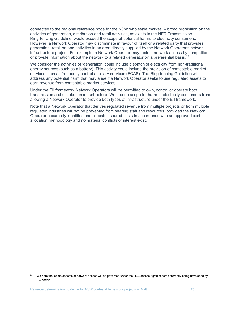connected to the regional reference node for the NSW wholesale market. A broad prohibition on the activities of generation, distribution and retail activities, as exists in the NER Transmission Ring-fencing Guideline, would exceed the scope of potential harms to electricity consumers. However, a Network Operator may discriminate in favour of itself or a related party that provides generation, retail or load activities in an area directly supplied by the Network Operator's network infrastructure project. For example, a Network Operator may restrict network access by competitors or provide information about the network to a related generator on a preferential basis.<sup>26</sup>

We consider the activities of 'generation' could include dispatch of electricity from non-traditional energy sources (such as a battery). This activity could include the provision of contestable market services such as frequency control ancillary services (FCAS). The Ring-fencing Guideline will address any potential harm that may arise if a Network Operator seeks to use regulated assets to earn revenue from contestable market services.

Under the EII framework Network Operators will be permitted to own, control or operate both transmission and distribution infrastructure. We see no scope for harm to electricity consumers from allowing a Network Operator to provide both types of infrastructure under the EII framework.

Note that a Network Operator that derives regulated revenue from multiple projects or from multiple regulated industries will not be prevented from sharing staff and resources, provided the Network Operator accurately identifies and allocates shared costs in accordance with an approved cost allocation methodology and no material conflicts of interest exist.

<sup>26</sup> We note that some aspects of network access will be governed under the REZ access rights scheme currently being developed by the OECC.